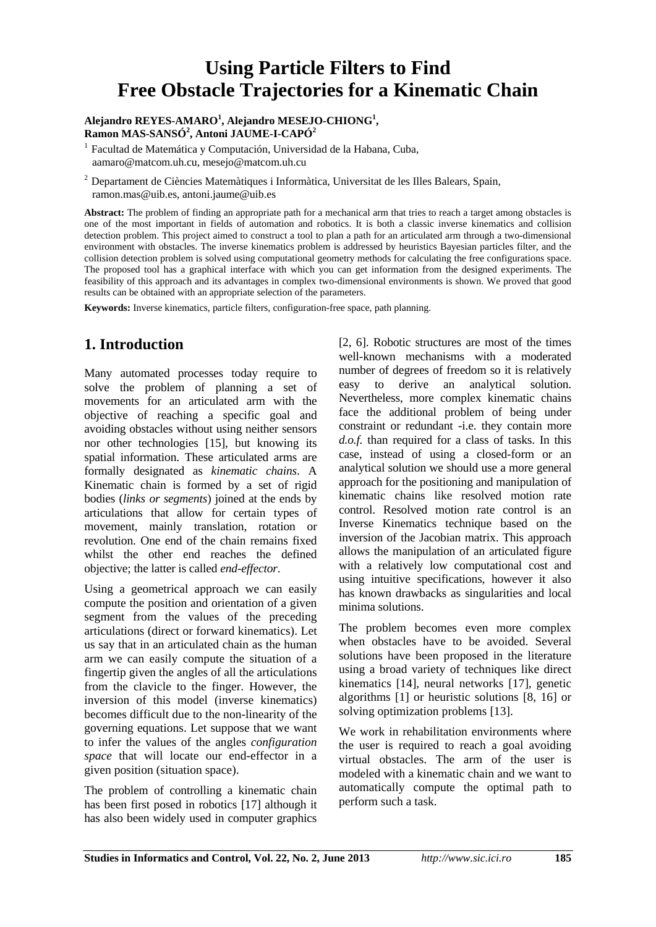# **Using Particle Filters to Find Free Obstacle Trajectories for a Kinematic Chain**

#### **Alejandro REYES-AMARO<sup>1</sup> , Alejandro MESEJO-CHIONG<sup>1</sup> , Ramon MAS-SANSÓ<sup>2</sup> , Antoni JAUME-I-CAPÓ<sup>2</sup>**

1 Facultad de Matemática y Computación, Universidad de la Habana, Cuba, aamaro@matcom.uh.cu, mesejo@matcom.uh.cu

2 Departament de Ciències Matemàtiques i Informàtica, Universitat de les Illes Balears, Spain, ramon.mas@uib.es, antoni.jaume@uib.es

**Abstract:** The problem of finding an appropriate path for a mechanical arm that tries to reach a target among obstacles is one of the most important in fields of automation and robotics. It is both a classic inverse kinematics and collision detection problem. This project aimed to construct a tool to plan a path for an articulated arm through a two-dimensional environment with obstacles. The inverse kinematics problem is addressed by heuristics Bayesian particles filter, and the collision detection problem is solved using computational geometry methods for calculating the free configurations space. The proposed tool has a graphical interface with which you can get information from the designed experiments. The feasibility of this approach and its advantages in complex two-dimensional environments is shown. We proved that good results can be obtained with an appropriate selection of the parameters.

**Keywords:** Inverse kinematics, particle filters, configuration-free space, path planning.

# **1. Introduction**

Many automated processes today require to solve the problem of planning a set of movements for an articulated arm with the objective of reaching a specific goal and avoiding obstacles without using neither sensors nor other technologies [15], but knowing its spatial information. These articulated arms are formally designated as *kinematic chains*. A Kinematic chain is formed by a set of rigid bodies (*links or segments*) joined at the ends by articulations that allow for certain types of movement, mainly translation, rotation or revolution. One end of the chain remains fixed whilst the other end reaches the defined objective; the latter is called *end-effector*.

Using a geometrical approach we can easily compute the position and orientation of a given segment from the values of the preceding articulations (direct or forward kinematics). Let us say that in an articulated chain as the human arm we can easily compute the situation of a fingertip given the angles of all the articulations from the clavicle to the finger. However, the inversion of this model (inverse kinematics) becomes difficult due to the non-linearity of the governing equations. Let suppose that we want to infer the values of the angles *configuration space* that will locate our end-effector in a given position (situation space).

The problem of controlling a kinematic chain has been first posed in robotics [17] although it has also been widely used in computer graphics

[2, 6]. Robotic structures are most of the times well-known mechanisms with a moderated number of degrees of freedom so it is relatively easy to derive an analytical solution. Nevertheless, more complex kinematic chains face the additional problem of being under constraint or redundant -i.e. they contain more *d.o.f.* than required for a class of tasks. In this case, instead of using a closed-form or an analytical solution we should use a more general approach for the positioning and manipulation of kinematic chains like resolved motion rate control. Resolved motion rate control is an Inverse Kinematics technique based on the inversion of the Jacobian matrix. This approach allows the manipulation of an articulated figure with a relatively low computational cost and using intuitive specifications, however it also has known drawbacks as singularities and local minima solutions.

The problem becomes even more complex when obstacles have to be avoided. Several solutions have been proposed in the literature using a broad variety of techniques like direct kinematics [14], neural networks [17], genetic algorithms [1] or heuristic solutions [8, 16] or solving optimization problems [13].

We work in rehabilitation environments where the user is required to reach a goal avoiding virtual obstacles. The arm of the user is modeled with a kinematic chain and we want to automatically compute the optimal path to perform such a task.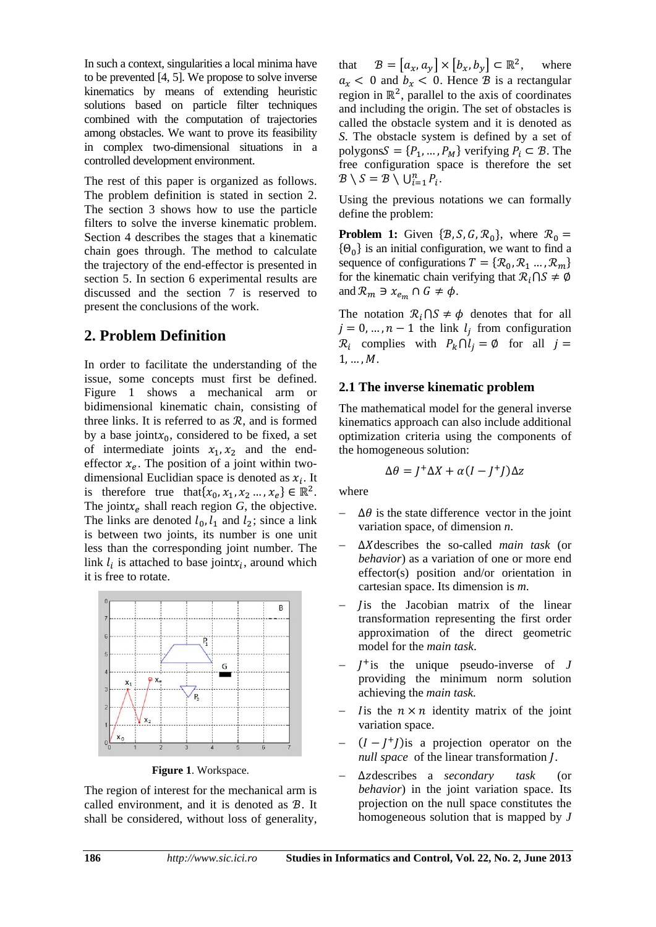In such a context, singularities a local minima have to be prevented [4, 5]. We propose to solve inverse kinematics by means of extending heuristic solutions based on particle filter techniques combined with the computation of trajectories among obstacles. We want to prove its feasibility in complex two-dimensional situations in a controlled development environment.

The rest of this paper is organized as follows. The problem definition is stated in section 2. The section 3 shows how to use the particle filters to solve the inverse kinematic problem. Section 4 describes the stages that a kinematic chain goes through. The method to calculate the trajectory of the end-effector is presented in section 5. In section 6 experimental results are discussed and the section 7 is reserved to present the conclusions of the work.

## **2. Problem Definition**

In order to facilitate the understanding of the issue, some concepts must first be defined. Figure 1 shows a mechanical arm or bidimensional kinematic chain, consisting of three links. It is referred to as  $R$ , and is formed by a base joint $x_0$ , considered to be fixed, a set of intermediate joints  $x_1, x_2$  and the endeffector  $x_e$ . The position of a joint within twodimensional Euclidian space is denoted as  $x_i$ . It is therefore true that  $\{x_0, x_1, x_2, \ldots, x_e\} \in \mathbb{R}^2$ . The joint $x_e$  shall reach region  $G$ , the objective. The links are denoted  $l_0$ ,  $l_1$  and  $l_2$ ; since a link is between two joints, its number is one unit less than the corresponding joint number. The link  $l_i$  is attached to base joint $x_i$ , around which it is free to rotate.



**Figure 1**. Workspace.

The region of interest for the mechanical arm is called environment, and it is denoted as  $B$ . It shall be considered, without loss of generality,

that  $B = [a_x, a_y] \times [b_x, b_y] \subset \mathbb{R}^2$ , where  $a_x < 0$  and  $b_x < 0$ . Hence  $\hat{B}$  is a rectangular region in  $\mathbb{R}^2$ , parallel to the axis of coordinates and including the origin. The set of obstacles is called the obstacle system and it is denoted as *S*. The obstacle system is defined by a set of polygons $S = \{P_1, ..., P_M\}$  verifying  $P_i \subset \mathcal{B}$ . The free configuration space is therefore the set  $\mathcal{B} \setminus S = \mathcal{B} \setminus \bigcup_{i=1}^{n} P_i$ .

Using the previous notations we can formally define the problem:

**Problem 1:** Given  $\{\mathcal{B}, \mathcal{S}, \mathcal{G}, \mathcal{R}_0\}$ , where  $\mathcal{R}_0 =$  $\{\Theta_0\}$  is an initial configuration, we want to find a sequence of configurations  $T = \{R_0, R_1, \ldots, R_m\}$ for the kinematic chain verifying that  $\mathcal{R}_i \cap S \neq \emptyset$ and  $\mathcal{R}_m \ni x_{e_m} \cap G \neq \phi$ .

The notation  $\mathcal{R}_i \cap S \neq \emptyset$  denotes that for all  $j = 0, ..., n - 1$  the link  $l_i$  from configuration  $\mathcal{R}_i$  complies with  $P_k \cap l_i = \emptyset$  for all  $j =$  $1, ..., M$ .

#### **2.1 The inverse kinematic problem**

The mathematical model for the general inverse kinematics approach can also include additional optimization criteria using the components of the homogeneous solution:

$$
\Delta \theta = J^+ \Delta X + \alpha (I - J^+ I) \Delta z
$$

where

- $\Delta\theta$  is the state difference vector in the joint variation space, of dimension *n*.
- ∆ܺdescribes the so-called *main task* (or *behavior*) as a variation of one or more end effector(s) position and/or orientation in cartesian space. Its dimension is *m*.
- Jis the Jacobian matrix of the linear transformation representing the first order approximation of the direct geometric model for the *main task*.
- $J^+$  is the unique pseudo-inverse of  $J$ providing the minimum norm solution achieving the *main task.*
- It is the  $n \times n$  identity matrix of the joint variation space.
- $(I I<sup>+</sup>I)$  is a projection operator on the *null space* of the linear transformation *[*.
- ∆ݖdescribes a *secondary task* (or *behavior*) in the joint variation space. Its projection on the null space constitutes the homogeneous solution that is mapped by *J*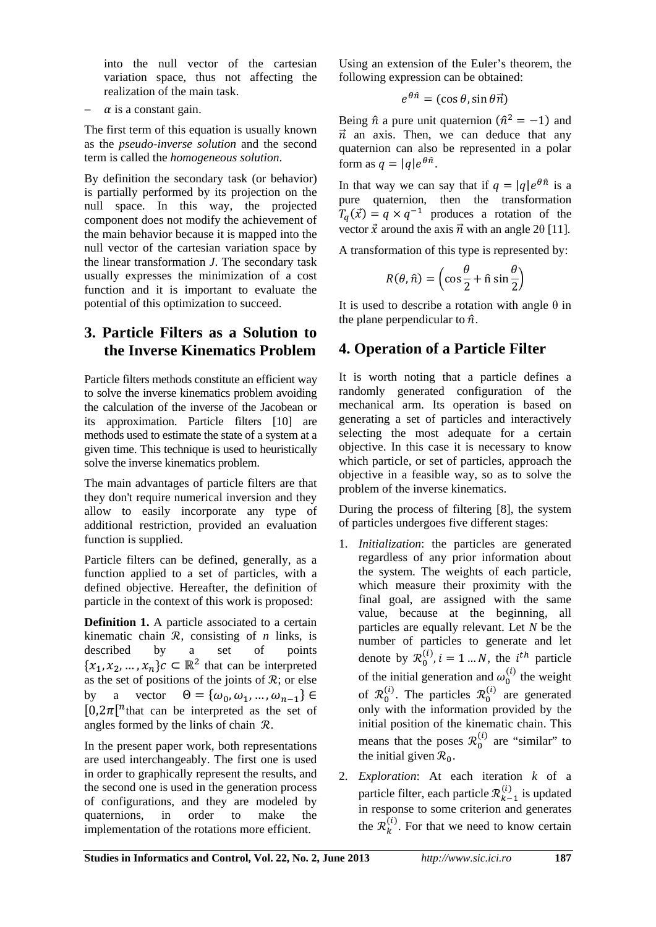into the null vector of the cartesian variation space, thus not affecting the realization of the main task.

 $\alpha$  is a constant gain.

The first term of this equation is usually known as the *pseudo-inverse solution* and the second term is called the *homogeneous solution*.

By definition the secondary task (or behavior) is partially performed by its projection on the null space. In this way, the projected component does not modify the achievement of the main behavior because it is mapped into the null vector of the cartesian variation space by the linear transformation *J*. The secondary task usually expresses the minimization of a cost function and it is important to evaluate the potential of this optimization to succeed.

# **3. Particle Filters as a Solution to the Inverse Kinematics Problem**

Particle filters methods constitute an efficient way to solve the inverse kinematics problem avoiding the calculation of the inverse of the Jacobean or its approximation. Particle filters [10] are methods used to estimate the state of a system at a given time. This technique is used to heuristically solve the inverse kinematics problem.

The main advantages of particle filters are that they don't require numerical inversion and they allow to easily incorporate any type of additional restriction, provided an evaluation function is supplied.

Particle filters can be defined, generally, as a function applied to a set of particles, with a defined objective. Hereafter, the definition of particle in the context of this work is proposed:

**Definition 1.** A particle associated to a certain kinematic chain  $\mathcal R$ , consisting of *n* links, is described by a set of points  ${x_1, x_2, ..., x_n}$ <sub>c</sub> $c \in \mathbb{R}^2$  that can be interpreted as the set of positions of the joints of  $\mathcal{R}$ ; or else by a vector  $\Theta = {\omega_0, \omega_1, ..., \omega_{n-1}} \in$  $[0,2\pi]$ <sup>n</sup> that can be interpreted as the set of angles formed by the links of chain  $\mathcal{R}$ .

In the present paper work, both representations are used interchangeably. The first one is used in order to graphically represent the results, and the second one is used in the generation process of configurations, and they are modeled by quaternions, in order to make the implementation of the rotations more efficient.

Using an extension of the Euler's theorem, the following expression can be obtained:

$$
e^{\theta \hat{n}} = (\cos \theta, \sin \theta \vec{n})
$$

Being  $\hat{n}$  a pure unit quaternion  $(\hat{n}^2 = -1)$  and  $\vec{n}$  an axis. Then, we can deduce that any quaternion can also be represented in a polar form as  $q = |q|e^{\theta \hat{n}}$ .

In that way we can say that if  $q = |q|e^{\theta \hat{n}}$  is a pure quaternion, then the transformation  $T_q(\vec{x}) = q \times q^{-1}$  produces a rotation of the vector  $\vec{x}$  around the axis  $\vec{n}$  with an angle 2θ [11].

A transformation of this type is represented by:

$$
R(\theta, \hat{n}) = \left(\cos\frac{\theta}{2} + \hat{n}\sin\frac{\theta}{2}\right)
$$

It is used to describe a rotation with angle  $\theta$  in the plane perpendicular to  $\hat{n}$ .

# **4. Operation of a Particle Filter**

It is worth noting that a particle defines a randomly generated configuration of the mechanical arm. Its operation is based on generating a set of particles and interactively selecting the most adequate for a certain objective. In this case it is necessary to know which particle, or set of particles, approach the objective in a feasible way, so as to solve the problem of the inverse kinematics.

During the process of filtering [8], the system of particles undergoes five different stages:

- 1. *Initialization*: the particles are generated regardless of any prior information about the system. The weights of each particle, which measure their proximity with the final goal, are assigned with the same value, because at the beginning, all particles are equally relevant. Let *N* be the number of particles to generate and let denote by  $\mathcal{R}_0^{(i)}$ ,  $i = 1 ... N$ , the  $i^{th}$  particle of the initial generation and  $\omega_0^{(i)}$  the weight of  $\mathcal{R}_0^{(i)}$ . The particles  $\mathcal{R}_0^{(i)}$  are generated only with the information provided by the initial position of the kinematic chain. This means that the poses  $\mathcal{R}_0^{(i)}$  are "similar" to the initial given  $\mathcal{R}_0$ .
- 2. *Exploration*: At each iteration *k* of a particle filter, each particle  $\mathcal{R}_{k-1}^{(i)}$  is updated in response to some criterion and generates the  $\mathcal{R}_k^{(i)}$ . For that we need to know certain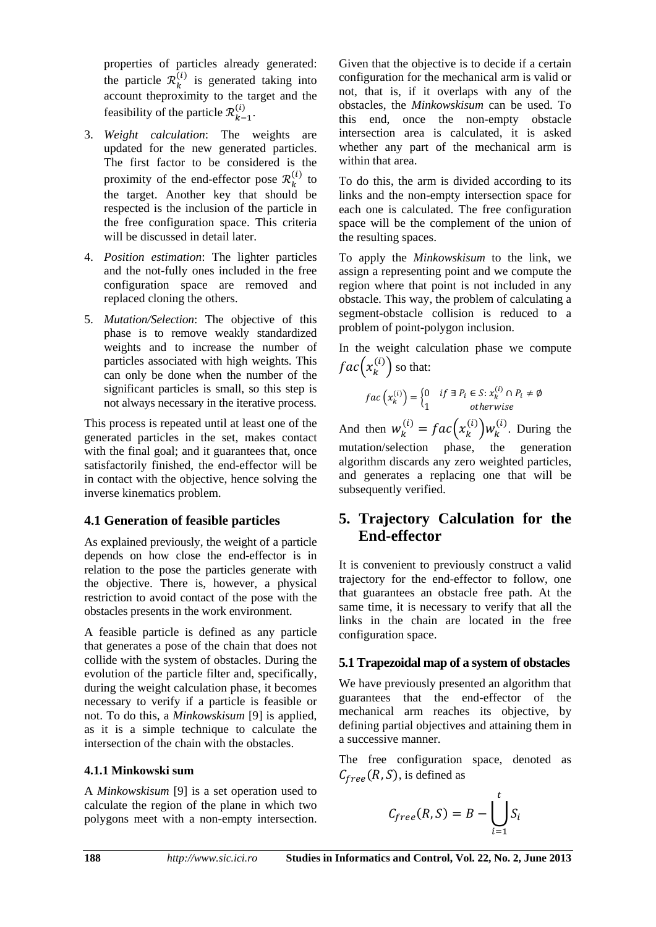properties of particles already generated: the particle  $\mathcal{R}_k^{(i)}$  is generated taking into account theproximity to the target and the feasibility of the particle  $\mathcal{R}_{k-1}^{(i)}$ .

- 3. *Weight calculation*: The weights are updated for the new generated particles. The first factor to be considered is the proximity of the end-effector pose  $\mathcal{R}_k^{(i)}$  to the target. Another key that should be respected is the inclusion of the particle in the free configuration space. This criteria will be discussed in detail later.
- 4. *Position estimation*: The lighter particles and the not-fully ones included in the free configuration space are removed and replaced cloning the others.
- 5. *Mutation/Selection*: The objective of this phase is to remove weakly standardized weights and to increase the number of particles associated with high weights. This can only be done when the number of the significant particles is small, so this step is not always necessary in the iterative process.

This process is repeated until at least one of the generated particles in the set, makes contact with the final goal; and it guarantees that, once satisfactorily finished, the end-effector will be in contact with the objective, hence solving the inverse kinematics problem.

#### **4.1 Generation of feasible particles**

As explained previously, the weight of a particle depends on how close the end-effector is in relation to the pose the particles generate with the objective. There is, however, a physical restriction to avoid contact of the pose with the obstacles presents in the work environment.

A feasible particle is defined as any particle that generates a pose of the chain that does not collide with the system of obstacles. During the evolution of the particle filter and, specifically, during the weight calculation phase, it becomes necessary to verify if a particle is feasible or not. To do this, a *Minkowskisum* [9] is applied, as it is a simple technique to calculate the intersection of the chain with the obstacles.

#### **4.1.1 Minkowski sum**

A *Minkowskisum* [9] is a set operation used to calculate the region of the plane in which two polygons meet with a non-empty intersection. Given that the objective is to decide if a certain configuration for the mechanical arm is valid or not, that is, if it overlaps with any of the obstacles, the *Minkowskisum* can be used. To this end, once the non-empty obstacle intersection area is calculated, it is asked whether any part of the mechanical arm is within that area.

To do this, the arm is divided according to its links and the non-empty intersection space for each one is calculated. The free configuration space will be the complement of the union of the resulting spaces.

To apply the *Minkowskisum* to the link, we assign a representing point and we compute the region where that point is not included in any obstacle. This way, the problem of calculating a segment-obstacle collision is reduced to a problem of point-polygon inclusion.

In the weight calculation phase we compute  $fac(x_k^{(i)})$  so that:

$$
fac\left(x_k^{(i)}\right) = \begin{cases} 0 & if \exists P_i \in S : x_k^{(i)} \cap P_i \neq \emptyset \\ 1 & otherwise \end{cases}
$$

And then  $w_k^{(i)} = fac(x_k^{(i)})w_k^{(i)}$ . During the mutation/selection phase, the generation algorithm discards any zero weighted particles, and generates a replacing one that will be subsequently verified.

# **5. Trajectory Calculation for the End-effector**

It is convenient to previously construct a valid trajectory for the end-effector to follow, one that guarantees an obstacle free path. At the same time, it is necessary to verify that all the links in the chain are located in the free configuration space.

### **5.1 Trapezoidal map of a system of obstacles**

We have previously presented an algorithm that guarantees that the end-effector of the mechanical arm reaches its objective, by defining partial objectives and attaining them in a successive manner.

The free configuration space, denoted as  $C_{free}(R, S)$ , is defined as

$$
C_{free}(R,S) = B - \bigcup_{i=1}^{t} S_i
$$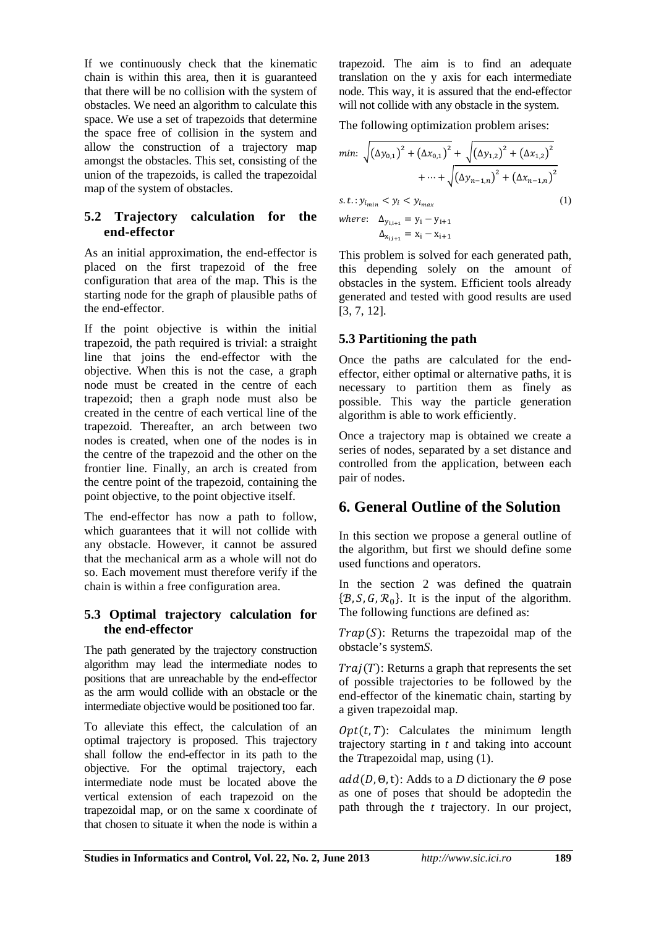If we continuously check that the kinematic chain is within this area, then it is guaranteed that there will be no collision with the system of obstacles. We need an algorithm to calculate this space. We use a set of trapezoids that determine the space free of collision in the system and allow the construction of a trajectory map amongst the obstacles. This set, consisting of the union of the trapezoids, is called the trapezoidal map of the system of obstacles.

#### **5.2 Trajectory calculation for the end-effector**

As an initial approximation, the end-effector is placed on the first trapezoid of the free configuration that area of the map. This is the starting node for the graph of plausible paths of the end-effector.

If the point objective is within the initial trapezoid, the path required is trivial: a straight line that joins the end-effector with the objective. When this is not the case, a graph node must be created in the centre of each trapezoid; then a graph node must also be created in the centre of each vertical line of the trapezoid. Thereafter, an arch between two nodes is created, when one of the nodes is in the centre of the trapezoid and the other on the frontier line. Finally, an arch is created from the centre point of the trapezoid, containing the point objective, to the point objective itself.

The end-effector has now a path to follow, which guarantees that it will not collide with any obstacle. However, it cannot be assured that the mechanical arm as a whole will not do so. Each movement must therefore verify if the chain is within a free configuration area.

#### **5.3 Optimal trajectory calculation for the end-effector**

The path generated by the trajectory construction algorithm may lead the intermediate nodes to positions that are unreachable by the end-effector as the arm would collide with an obstacle or the intermediate objective would be positioned too far.

To alleviate this effect, the calculation of an optimal trajectory is proposed. This trajectory shall follow the end-effector in its path to the objective. For the optimal trajectory, each intermediate node must be located above the vertical extension of each trapezoid on the trapezoidal map, or on the same x coordinate of that chosen to situate it when the node is within a trapezoid. The aim is to find an adequate translation on the y axis for each intermediate node. This way, it is assured that the end-effector will not collide with any obstacle in the system.

The following optimization problem arises:

$$
min: \sqrt{(\Delta y_{0,1})^2 + (\Delta x_{0,1})^2} + \sqrt{(\Delta y_{1,2})^2 + (\Delta x_{1,2})^2} + \cdots + \sqrt{(\Delta y_{n-1,n})^2 + (\Delta x_{n-1,n})^2} s.t.: y_{i_{min}} < y_i < y_{i_{max}} where: \Delta_{y_{i,i+1}} = y_i - y_{i+1} \Delta_{x_{i,i+1}} = x_i - x_{i+1}
$$
 (1)

This problem is solved for each generated path, this depending solely on the amount of obstacles in the system. Efficient tools already generated and tested with good results are used [3, 7, 12].

#### **5.3 Partitioning the path**

Once the paths are calculated for the endeffector, either optimal or alternative paths, it is necessary to partition them as finely as possible. This way the particle generation algorithm is able to work efficiently.

Once a trajectory map is obtained we create a series of nodes, separated by a set distance and controlled from the application, between each pair of nodes.

# **6. General Outline of the Solution**

In this section we propose a general outline of the algorithm, but first we should define some used functions and operators.

In the section 2 was defined the quatrain  $\{\mathcal{B}, \mathcal{S}, \mathcal{G}, \mathcal{R}_{0}\}\$ . It is the input of the algorithm. The following functions are defined as:

 $Trap(S)$ : Returns the trapezoidal map of the obstacle's system*S*.

 $Traj(T)$ : Returns a graph that represents the set of possible trajectories to be followed by the end-effector of the kinematic chain, starting by a given trapezoidal map.

 $Opt(t, T)$ : Calculates the minimum length trajectory starting in *t* and taking into account the *T*trapezoidal map, using (1).

 $add(D, \Theta, t)$ : Adds to a *D* dictionary the  $\Theta$  pose as one of poses that should be adoptedin the path through the *t* trajectory. In our project,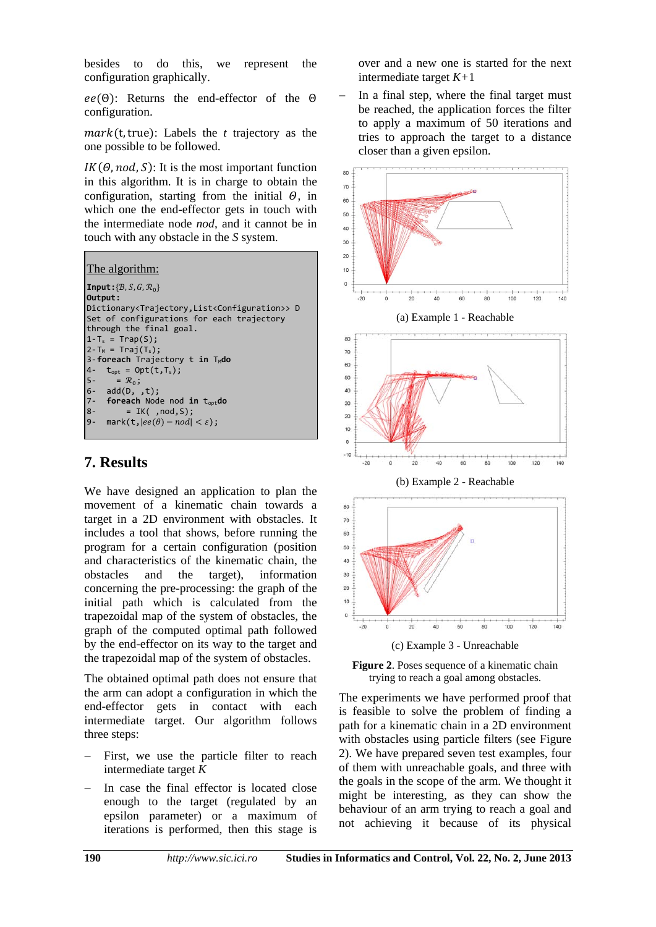besides to do this, we represent the configuration graphically.

 $ee(\Theta)$ : Returns the end-effector of the  $\Theta$ configuration.

 $mark$ (t, true): Labels the *t* trajectory as the one possible to be followed.

 $IK(\Theta, nod, S)$ : It is the most important function in this algorithm. It is in charge to obtain the configuration, starting from the initial  $\Theta$ , in which one the end-effector gets in touch with the intermediate node *nod*, and it cannot be in touch with any obstacle in the *S* system.

| The algorithm:                                                                   |
|----------------------------------------------------------------------------------|
| <b>Input:</b> $\{B, S, G, \mathcal{R}_0\}$                                       |
| Output:                                                                          |
| Dictionary <trajectory,list<configuration>&gt; D</trajectory,list<configuration> |
| Set of configurations for each trajectory                                        |
| through the final goal.                                                          |
| $1-T_s = Trap(S);$                                                               |
| $2-T_M = Trai(T_s);$                                                             |
| 3-foreach Trajectory t in T <sub>M</sub> do                                      |
| $t_{\text{opt}}$ = Opt(t,T <sub>s</sub> );<br>$4-$                               |
| $5 - \overline{\phantom{a}} = \mathcal{R}_0$ ;                                   |
| $6- add(D, ,t);$                                                                 |
| 7- foreach Node nod in t <sub>opt</sub> do                                       |
| $= IK( ,nod, S);$<br>$8-$                                                        |
| $mark(t,  ee(\theta) - nod  < \varepsilon)$ ;<br>$9-$                            |
|                                                                                  |

# **7. Results**

We have designed an application to plan the movement of a kinematic chain towards a target in a 2D environment with obstacles. It includes a tool that shows, before running the program for a certain configuration (position and characteristics of the kinematic chain, the obstacles and the target), information concerning the pre-processing: the graph of the initial path which is calculated from the trapezoidal map of the system of obstacles, the graph of the computed optimal path followed by the end-effector on its way to the target and the trapezoidal map of the system of obstacles.

The obtained optimal path does not ensure that the arm can adopt a configuration in which the end-effector gets in contact with each intermediate target. Our algorithm follows three steps:

- First, we use the particle filter to reach intermediate target *K*
- In case the final effector is located close enough to the target (regulated by an epsilon parameter) or a maximum of iterations is performed, then this stage is

over and a new one is started for the next intermediate target *K+*1

 In a final step, where the final target must be reached, the application forces the filter to apply a maximum of 50 iterations and tries to approach the target to a distance closer than a given epsilon.



**Figure 2**. Poses sequence of a kinematic chain trying to reach a goal among obstacles.

The experiments we have performed proof that is feasible to solve the problem of finding a path for a kinematic chain in a 2D environment with obstacles using particle filters (see Figure 2). We have prepared seven test examples, four of them with unreachable goals, and three with the goals in the scope of the arm. We thought it might be interesting, as they can show the behaviour of an arm trying to reach a goal and not achieving it because of its physical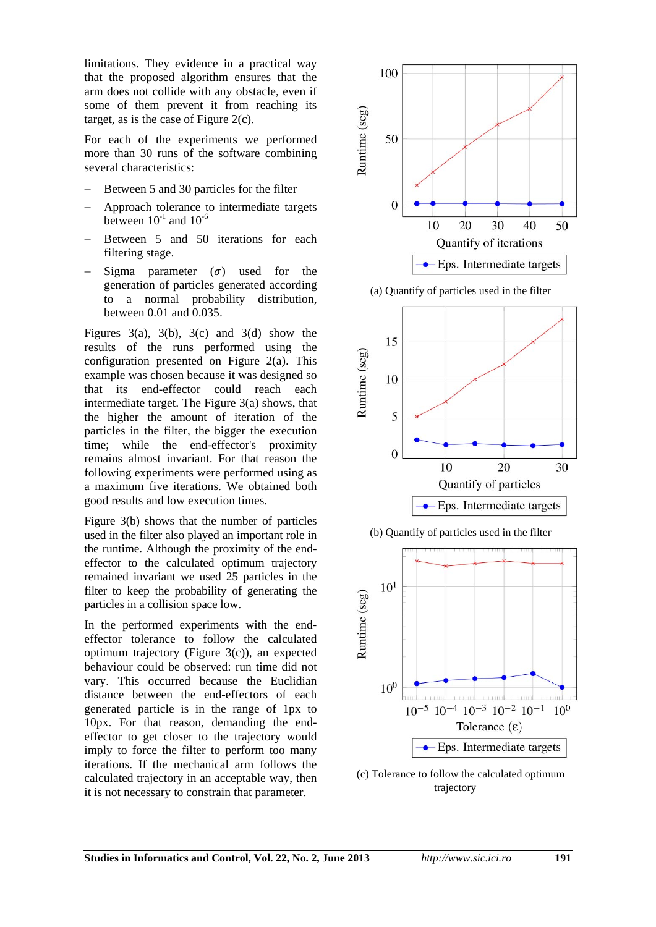limitations. They evidence in a practical way that the proposed algorithm ensures that the arm does not collide with any obstacle, even if some of them prevent it from reaching its target, as is the case of Figure 2(c).

For each of the experiments we performed more than 30 runs of the software combining several characteristics:

- Between 5 and 30 particles for the filter
- Approach tolerance to intermediate targets between  $10^{-1}$  and  $10^{-6}$
- Between 5 and 50 iterations for each filtering stage.
- Sigma parameter  $(\sigma)$  used for the generation of particles generated according to a normal probability distribution, between 0.01 and 0.035.

Figures 3(a), 3(b), 3(c) and 3(d) show the results of the runs performed using the configuration presented on Figure 2(a). This example was chosen because it was designed so that its end-effector could reach each intermediate target. The Figure 3(a) shows, that the higher the amount of iteration of the particles in the filter, the bigger the execution time; while the end-effector's proximity remains almost invariant. For that reason the following experiments were performed using as a maximum five iterations. We obtained both good results and low execution times.

Figure 3(b) shows that the number of particles used in the filter also played an important role in the runtime. Although the proximity of the endeffector to the calculated optimum trajectory remained invariant we used 25 particles in the filter to keep the probability of generating the particles in a collision space low.

In the performed experiments with the endeffector tolerance to follow the calculated optimum trajectory (Figure 3(c)), an expected behaviour could be observed: run time did not vary. This occurred because the Euclidian distance between the end-effectors of each generated particle is in the range of 1px to 10px. For that reason, demanding the endeffector to get closer to the trajectory would imply to force the filter to perform too many iterations. If the mechanical arm follows the calculated trajectory in an acceptable way, then it is not necessary to constrain that parameter.



(a) Quantify of particles used in the filter







(c) Tolerance to follow the calculated optimum trajectory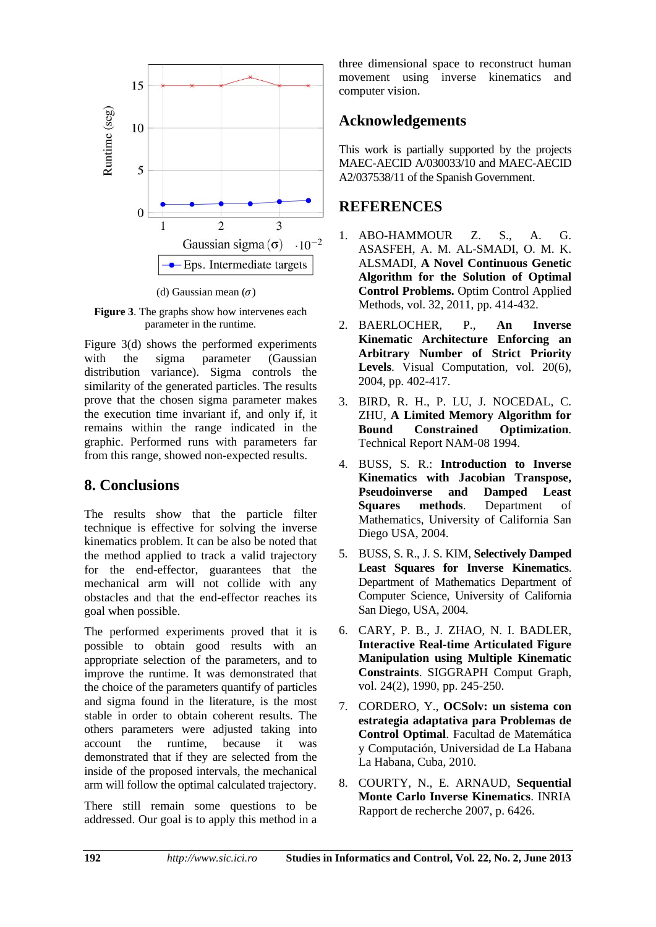

(d) Gaussian mean  $(\sigma)$ 

**Figure 3**. The graphs show how intervenes each parameter in the runtime.

Figure 3(d) shows the performed experiments with the sigma parameter (Gaussian distribution variance). Sigma controls the similarity of the generated particles. The results prove that the chosen sigma parameter makes the execution time invariant if, and only if, it remains within the range indicated in the graphic. Performed runs with parameters far from this range, showed non-expected results.

### **8. Conclusions**

The results show that the particle filter technique is effective for solving the inverse kinematics problem. It can be also be noted that the method applied to track a valid trajectory for the end-effector, guarantees that the mechanical arm will not collide with any obstacles and that the end-effector reaches its goal when possible.

The performed experiments proved that it is possible to obtain good results with an appropriate selection of the parameters, and to improve the runtime. It was demonstrated that the choice of the parameters quantify of particles and sigma found in the literature, is the most stable in order to obtain coherent results. The others parameters were adjusted taking into account the runtime, because it was demonstrated that if they are selected from the inside of the proposed intervals, the mechanical arm will follow the optimal calculated trajectory.

There still remain some questions to be addressed. Our goal is to apply this method in a three dimensional space to reconstruct human movement using inverse kinematics and computer vision.

# **Acknowledgements**

This work is partially supported by the projects MAEC-AECID A/030033/10 and MAEC-AECID A2/037538/11 of the Spanish Government.

### **REFERENCES**

- 1. ABO-HAMMOUR Z. S., A. G. ASASFEH, A. M. AL-SMADI, O. M. K. ALSMADI, **A Novel Continuous Genetic Algorithm for the Solution of Optimal Control Problems.** Optim Control Applied Methods, vol. 32, 2011, pp. 414-432.
- 2. BAERLOCHER, P., **An Inverse Kinematic Architecture Enforcing an Arbitrary Number of Strict Priority Levels**. Visual Computation, vol. 20(6), 2004, pp. 402-417.
- 3. BIRD, R. H., P. LU, J. NOCEDAL, C. ZHU, **A Limited Memory Algorithm for Bound Constrained Optimization**. Technical Report NAM-08 1994.
- 4. BUSS, S. R.: **Introduction to Inverse Kinematics with Jacobian Transpose, Pseudoinverse and Damped Least Squares methods**. Department of Mathematics, University of California San Diego USA, 2004.
- 5. BUSS, S. R., J. S. KIM, **Selectively Damped Least Squares for Inverse Kinematics**. Department of Mathematics Department of Computer Science, University of California San Diego, USA, 2004.
- 6. CARY, P. B., J. ZHAO, N. I. BADLER, **Interactive Real-time Articulated Figure Manipulation using Multiple Kinematic Constraints**. SIGGRAPH Comput Graph, vol. 24(2), 1990, pp. 245-250.
- 7. CORDERO, Y., **OCSolv: un sistema con estrategia adaptativa para Problemas de Control Optimal**. Facultad de Matemática y Computación, Universidad de La Habana La Habana, Cuba, 2010.
- 8. COURTY, N., E. ARNAUD, **Sequential Monte Carlo Inverse Kinematics**. INRIA Rapport de recherche 2007, p. 6426.